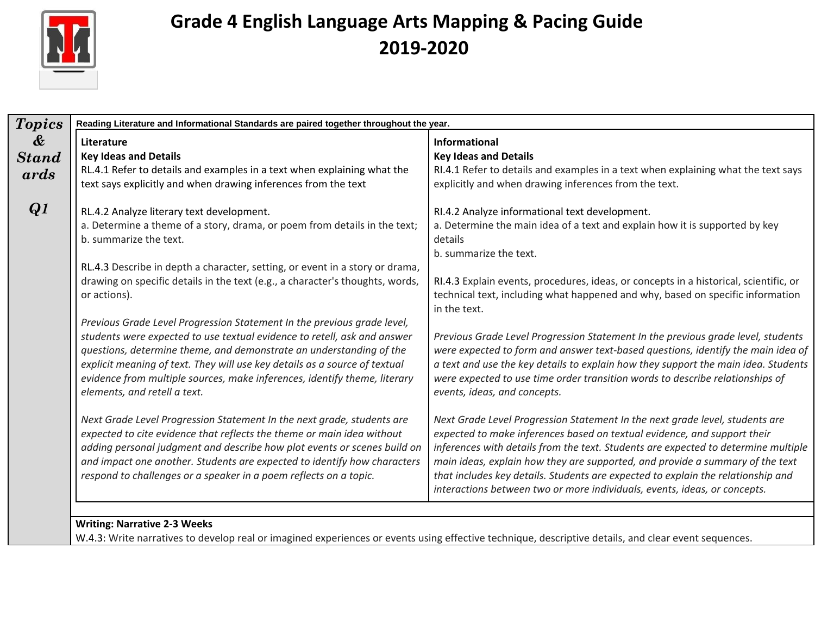

| <b>Topics</b>                                      | Reading Literature and Informational Standards are paired together throughout the year.                                                                                                                                                                                                                                                                                                                                                                                                                                                                                                                                                                                                                                                                                                                                                                                                                                                                                                    |                                                                                                                                                                                                                                                                                                                                                                                                                                                                                                                                                                                                                                                                                                                                                                                                                                                                                                                                                                                                |  |  |  |  |
|----------------------------------------------------|--------------------------------------------------------------------------------------------------------------------------------------------------------------------------------------------------------------------------------------------------------------------------------------------------------------------------------------------------------------------------------------------------------------------------------------------------------------------------------------------------------------------------------------------------------------------------------------------------------------------------------------------------------------------------------------------------------------------------------------------------------------------------------------------------------------------------------------------------------------------------------------------------------------------------------------------------------------------------------------------|------------------------------------------------------------------------------------------------------------------------------------------------------------------------------------------------------------------------------------------------------------------------------------------------------------------------------------------------------------------------------------------------------------------------------------------------------------------------------------------------------------------------------------------------------------------------------------------------------------------------------------------------------------------------------------------------------------------------------------------------------------------------------------------------------------------------------------------------------------------------------------------------------------------------------------------------------------------------------------------------|--|--|--|--|
| $\boldsymbol{\mathcal{X}}$<br><b>Stand</b><br>ards | Literature<br><b>Key Ideas and Details</b><br>RL.4.1 Refer to details and examples in a text when explaining what the<br>text says explicitly and when drawing inferences from the text                                                                                                                                                                                                                                                                                                                                                                                                                                                                                                                                                                                                                                                                                                                                                                                                    | <b>Informational</b><br><b>Key Ideas and Details</b><br>RI.4.1 Refer to details and examples in a text when explaining what the text says<br>explicitly and when drawing inferences from the text.                                                                                                                                                                                                                                                                                                                                                                                                                                                                                                                                                                                                                                                                                                                                                                                             |  |  |  |  |
| Q1                                                 | RL.4.2 Analyze literary text development.<br>a. Determine a theme of a story, drama, or poem from details in the text;<br>b. summarize the text.<br>RL.4.3 Describe in depth a character, setting, or event in a story or drama,<br>drawing on specific details in the text (e.g., a character's thoughts, words,<br>or actions).<br>Previous Grade Level Progression Statement In the previous grade level,<br>students were expected to use textual evidence to retell, ask and answer<br>questions, determine theme, and demonstrate an understanding of the<br>explicit meaning of text. They will use key details as a source of textual<br>evidence from multiple sources, make inferences, identify theme, literary<br>elements, and retell a text.<br>Next Grade Level Progression Statement In the next grade, students are<br>expected to cite evidence that reflects the theme or main idea without<br>adding personal judgment and describe how plot events or scenes build on | RI.4.2 Analyze informational text development.<br>a. Determine the main idea of a text and explain how it is supported by key<br>details<br>b. summarize the text.<br>RI.4.3 Explain events, procedures, ideas, or concepts in a historical, scientific, or<br>technical text, including what happened and why, based on specific information<br>in the text.<br>Previous Grade Level Progression Statement In the previous grade level, students<br>were expected to form and answer text-based questions, identify the main idea of<br>a text and use the key details to explain how they support the main idea. Students<br>were expected to use time order transition words to describe relationships of<br>events, ideas, and concepts.<br>Next Grade Level Progression Statement In the next grade level, students are<br>expected to make inferences based on textual evidence, and support their<br>inferences with details from the text. Students are expected to determine multiple |  |  |  |  |
|                                                    | and impact one another. Students are expected to identify how characters<br>respond to challenges or a speaker in a poem reflects on a topic.                                                                                                                                                                                                                                                                                                                                                                                                                                                                                                                                                                                                                                                                                                                                                                                                                                              | main ideas, explain how they are supported, and provide a summary of the text<br>that includes key details. Students are expected to explain the relationship and<br>interactions between two or more individuals, events, ideas, or concepts.                                                                                                                                                                                                                                                                                                                                                                                                                                                                                                                                                                                                                                                                                                                                                 |  |  |  |  |

W.4.3: Write narratives to develop real or imagined experiences or events using effective technique, descriptive details, and clear event sequences.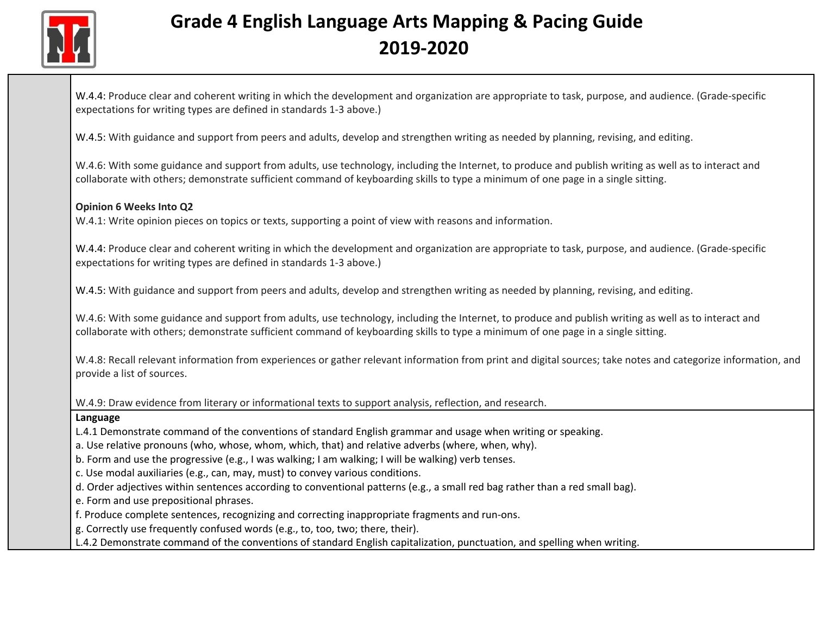

W.4.4: Produce clear and coherent writing in which the development and organization are appropriate to task, purpose, and audience. (Grade-specific expectations for writing types are defined in standards 1-3 above.)

W.4.5: With guidance and support from peers and adults, develop and strengthen writing as needed by planning, revising, and editing.

W.4.6: With some guidance and support from adults, use technology, including the Internet, to produce and publish writing as well as to interact and collaborate with others; demonstrate sufficient command of keyboarding skills to type a minimum of one page in a single sitting.

#### **Opinion 6 Weeks Into Q2**

W.4.1: Write opinion pieces on topics or texts, supporting a point of view with reasons and information.

W.4.4: Produce clear and coherent writing in which the development and organization are appropriate to task, purpose, and audience. (Grade-specific expectations for writing types are defined in standards 1-3 above.)

W.4.5: With guidance and support from peers and adults, develop and strengthen writing as needed by planning, revising, and editing.

W.4.6: With some guidance and support from adults, use technology, including the Internet, to produce and publish writing as well as to interact and collaborate with others; demonstrate sufficient command of keyboarding skills to type a minimum of one page in a single sitting.

W.4.8: Recall relevant information from experiences or gather relevant information from print and digital sources; take notes and categorize information, and provide a list of sources.

W.4.9: Draw evidence from literary or informational texts to support analysis, reflection, and research.

#### **Language**

L.4.1 Demonstrate command of the conventions of standard English grammar and usage when writing or speaking.

a. Use relative pronouns (who, whose, whom, which, that) and relative adverbs (where, when, why).

b. Form and use the progressive (e.g., I was walking; I am walking; I will be walking) verb tenses.

c. Use modal auxiliaries (e.g., can, may, must) to convey various conditions.

d. Order adjectives within sentences according to conventional patterns (e.g., a small red bag rather than a red small bag).

e. Form and use prepositional phrases.

f. Produce complete sentences, recognizing and correcting inappropriate fragments and run-ons.

g. Correctly use frequently confused words (e.g., to, too, two; there, their).

L.4.2 Demonstrate command of the conventions of standard English capitalization, punctuation, and spelling when writing.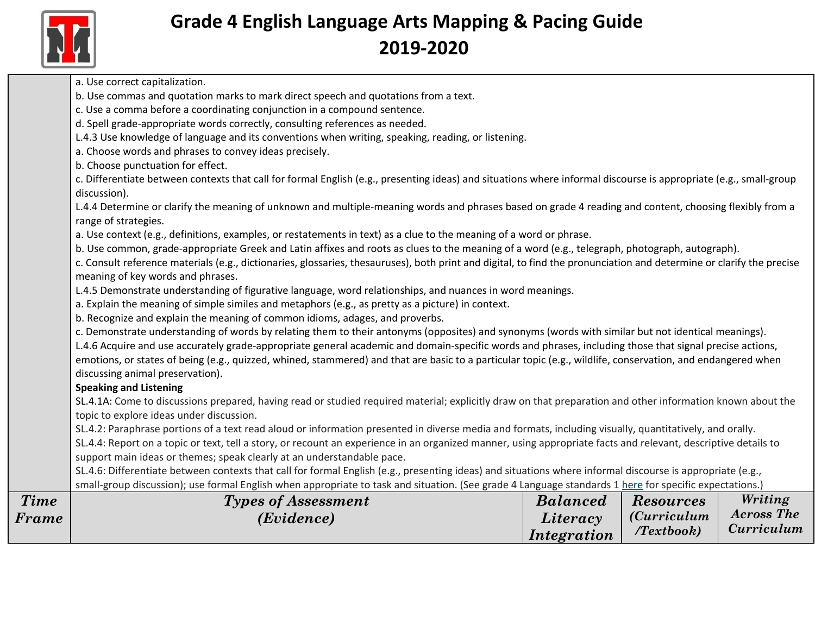

|             | a. Use correct capitalization.<br>b. Use commas and quotation marks to mark direct speech and quotations from a text.                                                                                  |                    |                      |                   |
|-------------|--------------------------------------------------------------------------------------------------------------------------------------------------------------------------------------------------------|--------------------|----------------------|-------------------|
|             | c. Use a comma before a coordinating conjunction in a compound sentence.                                                                                                                               |                    |                      |                   |
|             | d. Spell grade-appropriate words correctly, consulting references as needed.                                                                                                                           |                    |                      |                   |
|             | L.4.3 Use knowledge of language and its conventions when writing, speaking, reading, or listening.                                                                                                     |                    |                      |                   |
|             | a. Choose words and phrases to convey ideas precisely.                                                                                                                                                 |                    |                      |                   |
|             |                                                                                                                                                                                                        |                    |                      |                   |
|             | b. Choose punctuation for effect.<br>c. Differentiate between contexts that call for formal English (e.g., presenting ideas) and situations where informal discourse is appropriate (e.g., small-group |                    |                      |                   |
|             | discussion).                                                                                                                                                                                           |                    |                      |                   |
|             | L.4.4 Determine or clarify the meaning of unknown and multiple-meaning words and phrases based on grade 4 reading and content, choosing flexibly from a                                                |                    |                      |                   |
|             | range of strategies.                                                                                                                                                                                   |                    |                      |                   |
|             | a. Use context (e.g., definitions, examples, or restatements in text) as a clue to the meaning of a word or phrase.                                                                                    |                    |                      |                   |
|             | b. Use common, grade-appropriate Greek and Latin affixes and roots as clues to the meaning of a word (e.g., telegraph, photograph, autograph).                                                         |                    |                      |                   |
|             | c. Consult reference materials (e.g., dictionaries, glossaries, thesauruses), both print and digital, to find the pronunciation and determine or clarify the precise                                   |                    |                      |                   |
|             | meaning of key words and phrases.                                                                                                                                                                      |                    |                      |                   |
|             | L.4.5 Demonstrate understanding of figurative language, word relationships, and nuances in word meanings.                                                                                              |                    |                      |                   |
|             | a. Explain the meaning of simple similes and metaphors (e.g., as pretty as a picture) in context.                                                                                                      |                    |                      |                   |
|             | b. Recognize and explain the meaning of common idioms, adages, and proverbs.                                                                                                                           |                    |                      |                   |
|             | c. Demonstrate understanding of words by relating them to their antonyms (opposites) and synonyms (words with similar but not identical meanings).                                                     |                    |                      |                   |
|             | L.4.6 Acquire and use accurately grade-appropriate general academic and domain-specific words and phrases, including those that signal precise actions,                                                |                    |                      |                   |
|             | emotions, or states of being (e.g., quizzed, whined, stammered) and that are basic to a particular topic (e.g., wildlife, conservation, and endangered when                                            |                    |                      |                   |
|             | discussing animal preservation).                                                                                                                                                                       |                    |                      |                   |
|             | <b>Speaking and Listening</b>                                                                                                                                                                          |                    |                      |                   |
|             | SL.4.1A: Come to discussions prepared, having read or studied required material; explicitly draw on that preparation and other information known about the                                             |                    |                      |                   |
|             | topic to explore ideas under discussion.                                                                                                                                                               |                    |                      |                   |
|             | SL.4.2: Paraphrase portions of a text read aloud or information presented in diverse media and formats, including visually, quantitatively, and orally.                                                |                    |                      |                   |
|             | SL.4.4: Report on a topic or text, tell a story, or recount an experience in an organized manner, using appropriate facts and relevant, descriptive details to                                         |                    |                      |                   |
|             | support main ideas or themes; speak clearly at an understandable pace.                                                                                                                                 |                    |                      |                   |
|             | SL.4.6: Differentiate between contexts that call for formal English (e.g., presenting ideas) and situations where informal discourse is appropriate (e.g.,                                             |                    |                      |                   |
|             | small-group discussion); use formal English when appropriate to task and situation. (See grade 4 Language standards 1 here for specific expectations.)                                                 |                    |                      |                   |
| <b>Time</b> | <b>Types of Assessment</b>                                                                                                                                                                             | <b>Balanced</b>    | <b>Resources</b>     | Writing           |
| Frame       | (Evidence)                                                                                                                                                                                             | Literacy           | <i>(Curriculum</i> ) | <b>Across The</b> |
|             |                                                                                                                                                                                                        | <i>Integration</i> | Textbook             | Curriculum        |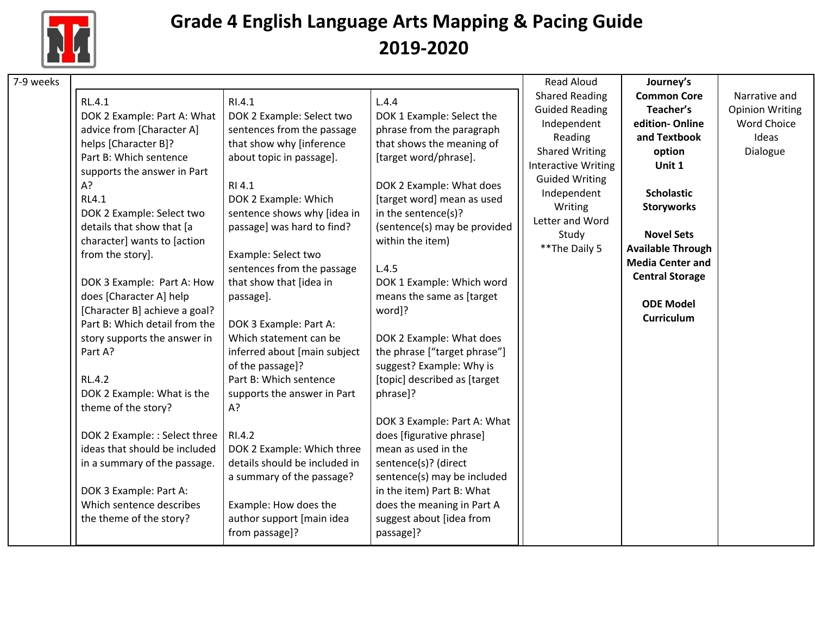

| <b>Shared Reading</b><br><b>Common Core</b><br>RL.4.1<br>RI.4.1<br>L.4.4<br><b>Guided Reading</b><br>Teacher's<br>DOK 2 Example: Part A: What<br>DOK 2 Example: Select two<br>DOK 1 Example: Select the<br>edition-Online<br>Independent<br>sentences from the passage<br>phrase from the paragraph<br>advice from [Character A]<br>Reading<br>and Textbook<br>Ideas<br>helps [Character B]?<br>that show why [inference<br>that shows the meaning of<br><b>Shared Writing</b><br>Dialogue<br>option<br>Part B: Which sentence<br>about topic in passage].<br>[target word/phrase].<br><b>Interactive Writing</b><br>Unit 1<br>supports the answer in Part<br><b>Guided Writing</b><br>A?<br>DOK 2 Example: What does<br>RI 4.1<br><b>Scholastic</b><br>Independent<br><b>RL4.1</b><br>DOK 2 Example: Which<br>[target word] mean as used<br>Writing<br><b>Storyworks</b><br>sentence shows why [idea in<br>in the sentence(s)?<br>DOK 2 Example: Select two<br>Letter and Word<br>details that show that [a<br>passage] was hard to find?<br>(sentence(s) may be provided<br><b>Novel Sets</b><br>Study<br>character] wants to [action<br>within the item)<br>** The Daily 5<br><b>Available Through</b><br>from the story].<br>Example: Select two<br><b>Media Center and</b><br>sentences from the passage<br>L.4.5<br><b>Central Storage</b><br>that show that [idea in<br>DOK 1 Example: Which word<br>DOK 3 Example: Part A: How<br>does [Character A] help<br>means the same as [target<br>passage].<br><b>ODE Model</b><br>[Character B] achieve a goal?<br>word]?<br>Curriculum<br>Part B: Which detail from the<br>DOK 3 Example: Part A:<br>Which statement can be<br>DOK 2 Example: What does<br>story supports the answer in<br>Part A?<br>the phrase ["target phrase"]<br>inferred about [main subject<br>of the passage]?<br>suggest? Example: Why is<br>Part B: Which sentence<br>[topic] described as [target]<br><b>RL.4.2</b><br>DOK 2 Example: What is the<br>supports the answer in Part<br>phrase]?<br>theme of the story?<br>A?<br>DOK 3 Example: Part A: What<br>DOK 2 Example: : Select three<br>does [figurative phrase]<br>RI.4.2<br>ideas that should be included<br>mean as used in the<br>DOK 2 Example: Which three<br>details should be included in<br>sentence(s)? (direct<br>in a summary of the passage.<br>sentence(s) may be included<br>a summary of the passage?<br>DOK 3 Example: Part A:<br>in the item) Part B: What<br>Which sentence describes<br>Example: How does the<br>does the meaning in Part A | 7-9 weeks |                         |                           |                          | <b>Read Aloud</b> | Journey's |                        |
|---------------------------------------------------------------------------------------------------------------------------------------------------------------------------------------------------------------------------------------------------------------------------------------------------------------------------------------------------------------------------------------------------------------------------------------------------------------------------------------------------------------------------------------------------------------------------------------------------------------------------------------------------------------------------------------------------------------------------------------------------------------------------------------------------------------------------------------------------------------------------------------------------------------------------------------------------------------------------------------------------------------------------------------------------------------------------------------------------------------------------------------------------------------------------------------------------------------------------------------------------------------------------------------------------------------------------------------------------------------------------------------------------------------------------------------------------------------------------------------------------------------------------------------------------------------------------------------------------------------------------------------------------------------------------------------------------------------------------------------------------------------------------------------------------------------------------------------------------------------------------------------------------------------------------------------------------------------------------------------------------------------------------------------------------------------------------------------------------------------------------------------------------------------------------------------------------------------------------------------------------------------------------------------------------------------------------------------------------------------------------------------------------------------------------------------------------------------------------------------------------------------------------------------------------|-----------|-------------------------|---------------------------|--------------------------|-------------------|-----------|------------------------|
|                                                                                                                                                                                                                                                                                                                                                                                                                                                                                                                                                                                                                                                                                                                                                                                                                                                                                                                                                                                                                                                                                                                                                                                                                                                                                                                                                                                                                                                                                                                                                                                                                                                                                                                                                                                                                                                                                                                                                                                                                                                                                                                                                                                                                                                                                                                                                                                                                                                                                                                                                   |           |                         |                           |                          |                   |           | Narrative and          |
|                                                                                                                                                                                                                                                                                                                                                                                                                                                                                                                                                                                                                                                                                                                                                                                                                                                                                                                                                                                                                                                                                                                                                                                                                                                                                                                                                                                                                                                                                                                                                                                                                                                                                                                                                                                                                                                                                                                                                                                                                                                                                                                                                                                                                                                                                                                                                                                                                                                                                                                                                   |           |                         |                           |                          |                   |           | <b>Opinion Writing</b> |
|                                                                                                                                                                                                                                                                                                                                                                                                                                                                                                                                                                                                                                                                                                                                                                                                                                                                                                                                                                                                                                                                                                                                                                                                                                                                                                                                                                                                                                                                                                                                                                                                                                                                                                                                                                                                                                                                                                                                                                                                                                                                                                                                                                                                                                                                                                                                                                                                                                                                                                                                                   |           |                         |                           |                          |                   |           | <b>Word Choice</b>     |
|                                                                                                                                                                                                                                                                                                                                                                                                                                                                                                                                                                                                                                                                                                                                                                                                                                                                                                                                                                                                                                                                                                                                                                                                                                                                                                                                                                                                                                                                                                                                                                                                                                                                                                                                                                                                                                                                                                                                                                                                                                                                                                                                                                                                                                                                                                                                                                                                                                                                                                                                                   |           |                         |                           |                          |                   |           |                        |
|                                                                                                                                                                                                                                                                                                                                                                                                                                                                                                                                                                                                                                                                                                                                                                                                                                                                                                                                                                                                                                                                                                                                                                                                                                                                                                                                                                                                                                                                                                                                                                                                                                                                                                                                                                                                                                                                                                                                                                                                                                                                                                                                                                                                                                                                                                                                                                                                                                                                                                                                                   |           |                         |                           |                          |                   |           |                        |
|                                                                                                                                                                                                                                                                                                                                                                                                                                                                                                                                                                                                                                                                                                                                                                                                                                                                                                                                                                                                                                                                                                                                                                                                                                                                                                                                                                                                                                                                                                                                                                                                                                                                                                                                                                                                                                                                                                                                                                                                                                                                                                                                                                                                                                                                                                                                                                                                                                                                                                                                                   |           |                         |                           |                          |                   |           |                        |
|                                                                                                                                                                                                                                                                                                                                                                                                                                                                                                                                                                                                                                                                                                                                                                                                                                                                                                                                                                                                                                                                                                                                                                                                                                                                                                                                                                                                                                                                                                                                                                                                                                                                                                                                                                                                                                                                                                                                                                                                                                                                                                                                                                                                                                                                                                                                                                                                                                                                                                                                                   |           |                         |                           |                          |                   |           |                        |
|                                                                                                                                                                                                                                                                                                                                                                                                                                                                                                                                                                                                                                                                                                                                                                                                                                                                                                                                                                                                                                                                                                                                                                                                                                                                                                                                                                                                                                                                                                                                                                                                                                                                                                                                                                                                                                                                                                                                                                                                                                                                                                                                                                                                                                                                                                                                                                                                                                                                                                                                                   |           |                         |                           |                          |                   |           |                        |
|                                                                                                                                                                                                                                                                                                                                                                                                                                                                                                                                                                                                                                                                                                                                                                                                                                                                                                                                                                                                                                                                                                                                                                                                                                                                                                                                                                                                                                                                                                                                                                                                                                                                                                                                                                                                                                                                                                                                                                                                                                                                                                                                                                                                                                                                                                                                                                                                                                                                                                                                                   |           |                         |                           |                          |                   |           |                        |
|                                                                                                                                                                                                                                                                                                                                                                                                                                                                                                                                                                                                                                                                                                                                                                                                                                                                                                                                                                                                                                                                                                                                                                                                                                                                                                                                                                                                                                                                                                                                                                                                                                                                                                                                                                                                                                                                                                                                                                                                                                                                                                                                                                                                                                                                                                                                                                                                                                                                                                                                                   |           |                         |                           |                          |                   |           |                        |
|                                                                                                                                                                                                                                                                                                                                                                                                                                                                                                                                                                                                                                                                                                                                                                                                                                                                                                                                                                                                                                                                                                                                                                                                                                                                                                                                                                                                                                                                                                                                                                                                                                                                                                                                                                                                                                                                                                                                                                                                                                                                                                                                                                                                                                                                                                                                                                                                                                                                                                                                                   |           |                         |                           |                          |                   |           |                        |
|                                                                                                                                                                                                                                                                                                                                                                                                                                                                                                                                                                                                                                                                                                                                                                                                                                                                                                                                                                                                                                                                                                                                                                                                                                                                                                                                                                                                                                                                                                                                                                                                                                                                                                                                                                                                                                                                                                                                                                                                                                                                                                                                                                                                                                                                                                                                                                                                                                                                                                                                                   |           |                         |                           |                          |                   |           |                        |
|                                                                                                                                                                                                                                                                                                                                                                                                                                                                                                                                                                                                                                                                                                                                                                                                                                                                                                                                                                                                                                                                                                                                                                                                                                                                                                                                                                                                                                                                                                                                                                                                                                                                                                                                                                                                                                                                                                                                                                                                                                                                                                                                                                                                                                                                                                                                                                                                                                                                                                                                                   |           |                         |                           |                          |                   |           |                        |
|                                                                                                                                                                                                                                                                                                                                                                                                                                                                                                                                                                                                                                                                                                                                                                                                                                                                                                                                                                                                                                                                                                                                                                                                                                                                                                                                                                                                                                                                                                                                                                                                                                                                                                                                                                                                                                                                                                                                                                                                                                                                                                                                                                                                                                                                                                                                                                                                                                                                                                                                                   |           |                         |                           |                          |                   |           |                        |
|                                                                                                                                                                                                                                                                                                                                                                                                                                                                                                                                                                                                                                                                                                                                                                                                                                                                                                                                                                                                                                                                                                                                                                                                                                                                                                                                                                                                                                                                                                                                                                                                                                                                                                                                                                                                                                                                                                                                                                                                                                                                                                                                                                                                                                                                                                                                                                                                                                                                                                                                                   |           |                         |                           |                          |                   |           |                        |
|                                                                                                                                                                                                                                                                                                                                                                                                                                                                                                                                                                                                                                                                                                                                                                                                                                                                                                                                                                                                                                                                                                                                                                                                                                                                                                                                                                                                                                                                                                                                                                                                                                                                                                                                                                                                                                                                                                                                                                                                                                                                                                                                                                                                                                                                                                                                                                                                                                                                                                                                                   |           |                         |                           |                          |                   |           |                        |
|                                                                                                                                                                                                                                                                                                                                                                                                                                                                                                                                                                                                                                                                                                                                                                                                                                                                                                                                                                                                                                                                                                                                                                                                                                                                                                                                                                                                                                                                                                                                                                                                                                                                                                                                                                                                                                                                                                                                                                                                                                                                                                                                                                                                                                                                                                                                                                                                                                                                                                                                                   |           |                         |                           |                          |                   |           |                        |
|                                                                                                                                                                                                                                                                                                                                                                                                                                                                                                                                                                                                                                                                                                                                                                                                                                                                                                                                                                                                                                                                                                                                                                                                                                                                                                                                                                                                                                                                                                                                                                                                                                                                                                                                                                                                                                                                                                                                                                                                                                                                                                                                                                                                                                                                                                                                                                                                                                                                                                                                                   |           |                         |                           |                          |                   |           |                        |
|                                                                                                                                                                                                                                                                                                                                                                                                                                                                                                                                                                                                                                                                                                                                                                                                                                                                                                                                                                                                                                                                                                                                                                                                                                                                                                                                                                                                                                                                                                                                                                                                                                                                                                                                                                                                                                                                                                                                                                                                                                                                                                                                                                                                                                                                                                                                                                                                                                                                                                                                                   |           |                         |                           |                          |                   |           |                        |
|                                                                                                                                                                                                                                                                                                                                                                                                                                                                                                                                                                                                                                                                                                                                                                                                                                                                                                                                                                                                                                                                                                                                                                                                                                                                                                                                                                                                                                                                                                                                                                                                                                                                                                                                                                                                                                                                                                                                                                                                                                                                                                                                                                                                                                                                                                                                                                                                                                                                                                                                                   |           |                         |                           |                          |                   |           |                        |
|                                                                                                                                                                                                                                                                                                                                                                                                                                                                                                                                                                                                                                                                                                                                                                                                                                                                                                                                                                                                                                                                                                                                                                                                                                                                                                                                                                                                                                                                                                                                                                                                                                                                                                                                                                                                                                                                                                                                                                                                                                                                                                                                                                                                                                                                                                                                                                                                                                                                                                                                                   |           |                         |                           |                          |                   |           |                        |
|                                                                                                                                                                                                                                                                                                                                                                                                                                                                                                                                                                                                                                                                                                                                                                                                                                                                                                                                                                                                                                                                                                                                                                                                                                                                                                                                                                                                                                                                                                                                                                                                                                                                                                                                                                                                                                                                                                                                                                                                                                                                                                                                                                                                                                                                                                                                                                                                                                                                                                                                                   |           |                         |                           |                          |                   |           |                        |
|                                                                                                                                                                                                                                                                                                                                                                                                                                                                                                                                                                                                                                                                                                                                                                                                                                                                                                                                                                                                                                                                                                                                                                                                                                                                                                                                                                                                                                                                                                                                                                                                                                                                                                                                                                                                                                                                                                                                                                                                                                                                                                                                                                                                                                                                                                                                                                                                                                                                                                                                                   |           |                         |                           |                          |                   |           |                        |
|                                                                                                                                                                                                                                                                                                                                                                                                                                                                                                                                                                                                                                                                                                                                                                                                                                                                                                                                                                                                                                                                                                                                                                                                                                                                                                                                                                                                                                                                                                                                                                                                                                                                                                                                                                                                                                                                                                                                                                                                                                                                                                                                                                                                                                                                                                                                                                                                                                                                                                                                                   |           |                         |                           |                          |                   |           |                        |
|                                                                                                                                                                                                                                                                                                                                                                                                                                                                                                                                                                                                                                                                                                                                                                                                                                                                                                                                                                                                                                                                                                                                                                                                                                                                                                                                                                                                                                                                                                                                                                                                                                                                                                                                                                                                                                                                                                                                                                                                                                                                                                                                                                                                                                                                                                                                                                                                                                                                                                                                                   |           |                         |                           |                          |                   |           |                        |
|                                                                                                                                                                                                                                                                                                                                                                                                                                                                                                                                                                                                                                                                                                                                                                                                                                                                                                                                                                                                                                                                                                                                                                                                                                                                                                                                                                                                                                                                                                                                                                                                                                                                                                                                                                                                                                                                                                                                                                                                                                                                                                                                                                                                                                                                                                                                                                                                                                                                                                                                                   |           |                         |                           |                          |                   |           |                        |
|                                                                                                                                                                                                                                                                                                                                                                                                                                                                                                                                                                                                                                                                                                                                                                                                                                                                                                                                                                                                                                                                                                                                                                                                                                                                                                                                                                                                                                                                                                                                                                                                                                                                                                                                                                                                                                                                                                                                                                                                                                                                                                                                                                                                                                                                                                                                                                                                                                                                                                                                                   |           |                         |                           |                          |                   |           |                        |
|                                                                                                                                                                                                                                                                                                                                                                                                                                                                                                                                                                                                                                                                                                                                                                                                                                                                                                                                                                                                                                                                                                                                                                                                                                                                                                                                                                                                                                                                                                                                                                                                                                                                                                                                                                                                                                                                                                                                                                                                                                                                                                                                                                                                                                                                                                                                                                                                                                                                                                                                                   |           |                         |                           |                          |                   |           |                        |
|                                                                                                                                                                                                                                                                                                                                                                                                                                                                                                                                                                                                                                                                                                                                                                                                                                                                                                                                                                                                                                                                                                                                                                                                                                                                                                                                                                                                                                                                                                                                                                                                                                                                                                                                                                                                                                                                                                                                                                                                                                                                                                                                                                                                                                                                                                                                                                                                                                                                                                                                                   |           |                         |                           |                          |                   |           |                        |
|                                                                                                                                                                                                                                                                                                                                                                                                                                                                                                                                                                                                                                                                                                                                                                                                                                                                                                                                                                                                                                                                                                                                                                                                                                                                                                                                                                                                                                                                                                                                                                                                                                                                                                                                                                                                                                                                                                                                                                                                                                                                                                                                                                                                                                                                                                                                                                                                                                                                                                                                                   |           | the theme of the story? | author support [main idea | suggest about [idea from |                   |           |                        |
| from passage]?<br>passage]?                                                                                                                                                                                                                                                                                                                                                                                                                                                                                                                                                                                                                                                                                                                                                                                                                                                                                                                                                                                                                                                                                                                                                                                                                                                                                                                                                                                                                                                                                                                                                                                                                                                                                                                                                                                                                                                                                                                                                                                                                                                                                                                                                                                                                                                                                                                                                                                                                                                                                                                       |           |                         |                           |                          |                   |           |                        |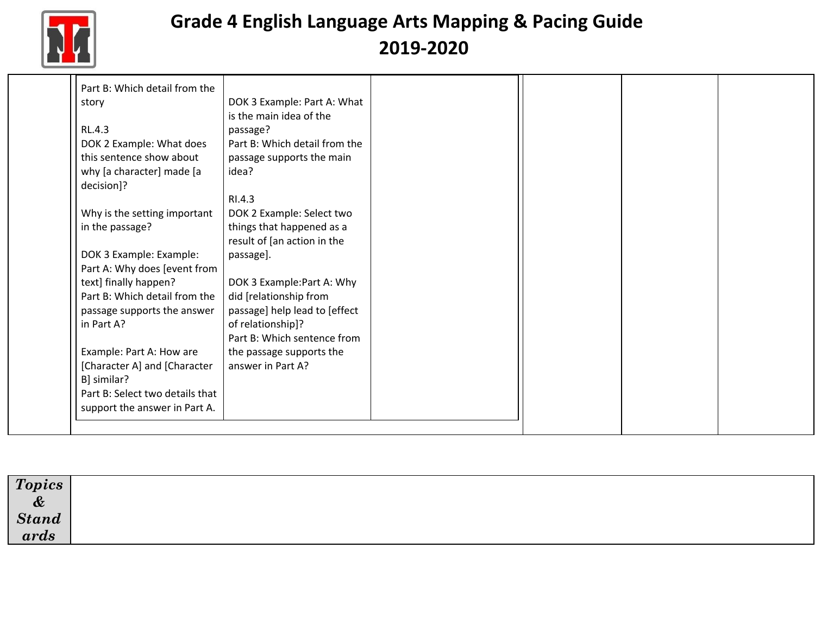

| Part B: Which detail from the   |                               |  |  |
|---------------------------------|-------------------------------|--|--|
| story                           | DOK 3 Example: Part A: What   |  |  |
|                                 | is the main idea of the       |  |  |
| RL.4.3                          | passage?                      |  |  |
| DOK 2 Example: What does        | Part B: Which detail from the |  |  |
| this sentence show about        | passage supports the main     |  |  |
| why [a character] made [a       | idea?                         |  |  |
| decision]?                      |                               |  |  |
|                                 | RI.4.3                        |  |  |
| Why is the setting important    | DOK 2 Example: Select two     |  |  |
| in the passage?                 | things that happened as a     |  |  |
|                                 | result of [an action in the   |  |  |
| DOK 3 Example: Example:         | passage].                     |  |  |
| Part A: Why does [event from    |                               |  |  |
| text] finally happen?           | DOK 3 Example: Part A: Why    |  |  |
| Part B: Which detail from the   | did [relationship from        |  |  |
| passage supports the answer     | passage] help lead to [effect |  |  |
| in Part A?                      | of relationship]?             |  |  |
|                                 | Part B: Which sentence from   |  |  |
| Example: Part A: How are        | the passage supports the      |  |  |
| [Character A] and [Character    | answer in Part A?             |  |  |
| B] similar?                     |                               |  |  |
| Part B: Select two details that |                               |  |  |
| support the answer in Part A.   |                               |  |  |

| $\boxed{Topics}_{\tiny P}$           |  |
|--------------------------------------|--|
|                                      |  |
| $\frac{\&}{\&}\,\,\,grad\,\,\,$ ards |  |
|                                      |  |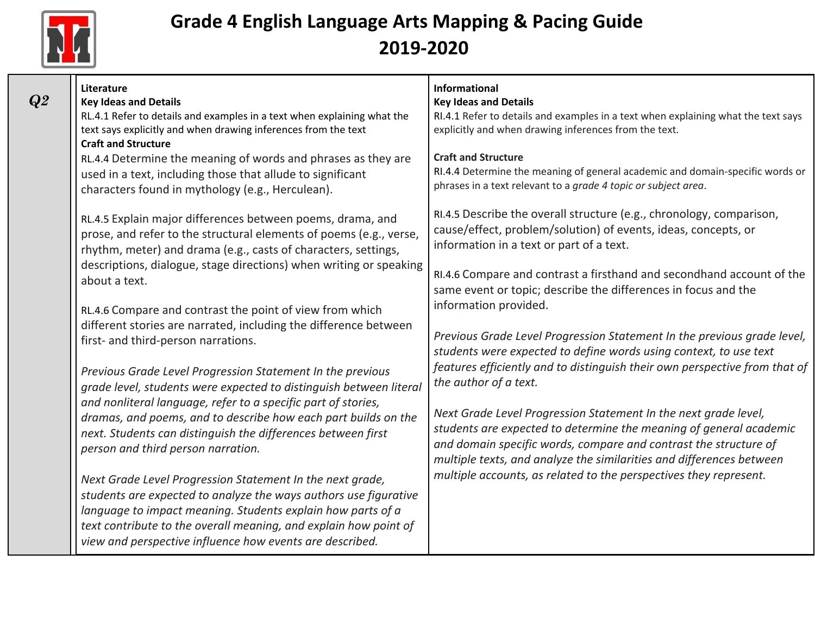

*Q2*

| <b>Literature</b><br><b>Key Ideas and Details</b><br>RL.4.1 Refer to details and examples in a text when explaining what the<br>text says explicitly and when drawing inferences from the text<br><b>Craft and Structure</b>                                                                                                 | <b>Informational</b><br><b>Key Ideas and Details</b><br>RI.4.1 Refer to details and examples in a text when explaining what the text says<br>explicitly and when drawing inferences from the text.                                                                                |
|------------------------------------------------------------------------------------------------------------------------------------------------------------------------------------------------------------------------------------------------------------------------------------------------------------------------------|-----------------------------------------------------------------------------------------------------------------------------------------------------------------------------------------------------------------------------------------------------------------------------------|
| RL.4.4 Determine the meaning of words and phrases as they are<br>used in a text, including those that allude to significant<br>characters found in mythology (e.g., Herculean).                                                                                                                                              | <b>Craft and Structure</b><br>RI.4.4 Determine the meaning of general academic and domain-specific words or<br>phrases in a text relevant to a grade 4 topic or subject area.                                                                                                     |
| RL.4.5 Explain major differences between poems, drama, and<br>prose, and refer to the structural elements of poems (e.g., verse,<br>rhythm, meter) and drama (e.g., casts of characters, settings,                                                                                                                           | RI.4.5 Describe the overall structure (e.g., chronology, comparison,<br>cause/effect, problem/solution) of events, ideas, concepts, or<br>information in a text or part of a text.                                                                                                |
| descriptions, dialogue, stage directions) when writing or speaking<br>about a text.<br>RL.4.6 Compare and contrast the point of view from which                                                                                                                                                                              | RI.4.6 Compare and contrast a firsthand and secondhand account of the<br>same event or topic; describe the differences in focus and the<br>information provided.                                                                                                                  |
| different stories are narrated, including the difference between<br>first- and third-person narrations.                                                                                                                                                                                                                      | Previous Grade Level Progression Statement In the previous grade level,<br>students were expected to define words using context, to use text                                                                                                                                      |
| Previous Grade Level Progression Statement In the previous<br>grade level, students were expected to distinguish between literal                                                                                                                                                                                             | features efficiently and to distinguish their own perspective from that of<br>the author of a text.                                                                                                                                                                               |
| and nonliteral language, refer to a specific part of stories,<br>dramas, and poems, and to describe how each part builds on the<br>next. Students can distinguish the differences between first<br>person and third person narration.                                                                                        | Next Grade Level Progression Statement In the next grade level,<br>students are expected to determine the meaning of general academic<br>and domain specific words, compare and contrast the structure of<br>multiple texts, and analyze the similarities and differences between |
| Next Grade Level Progression Statement In the next grade,<br>students are expected to analyze the ways authors use figurative<br>language to impact meaning. Students explain how parts of a<br>text contribute to the overall meaning, and explain how point of<br>view and perspective influence how events are described. | multiple accounts, as related to the perspectives they represent.                                                                                                                                                                                                                 |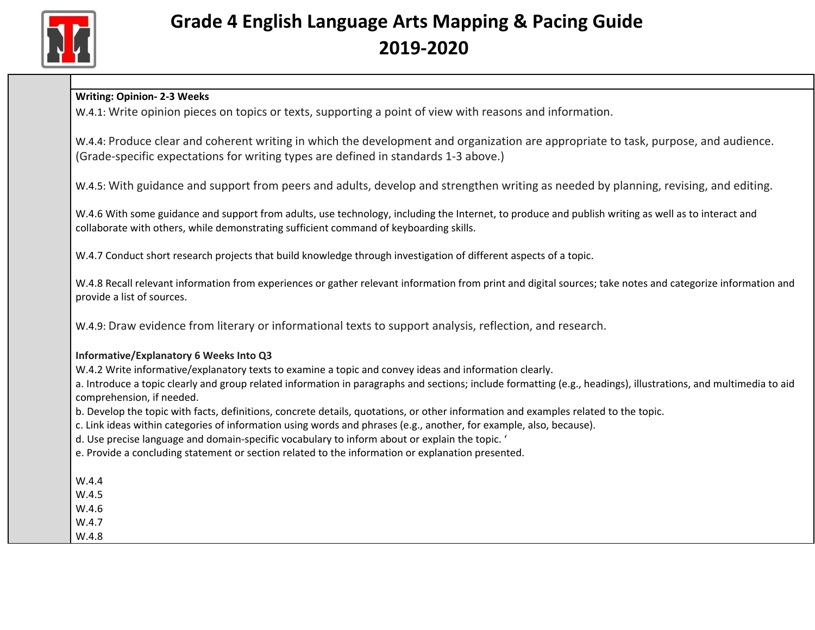

W.4.1: Write opinion pieces on topics or texts, supporting a point of view with reasons and information.

W.4.4: Produce clear and coherent writing in which the development and organization are appropriate to task, purpose, and audience. (Grade-specific expectations for writing types are defined in standards 1-3 above.)

W.4.5: With guidance and support from peers and adults, develop and strengthen writing as needed by planning, revising, and editing.

W.4.6 With some guidance and support from adults, use technology, including the Internet, to produce and publish writing as well as to interact and collaborate with others, while demonstrating sufficient command of keyboarding skills.

W.4.7 Conduct short research projects that build knowledge through investigation of different aspects of a topic.

W.4.8 Recall relevant information from experiences or gather relevant information from print and digital sources; take notes and categorize information and provide a list of sources.

W.4.9: Draw evidence from literary or informational texts to support analysis, reflection, and research.

#### **Informative/Explanatory 6 Weeks Into Q3**

W.4.2 Write informative/explanatory texts to examine a topic and convey ideas and information clearly.

a. Introduce a topic clearly and group related information in paragraphs and sections; include formatting (e.g., headings), illustrations, and multimedia to aid comprehension, if needed.

b. Develop the topic with facts, definitions, concrete details, quotations, or other information and examples related to the topic.

c. Link ideas within categories of information using words and phrases (e.g., another, for example, also, because).

d. Use precise language and domain-specific vocabulary to inform about or explain the topic. '

e. Provide a concluding statement or section related to the information or explanation presented.

W.4.4

W.4.5

W.4.6

W.4.7

W.4.8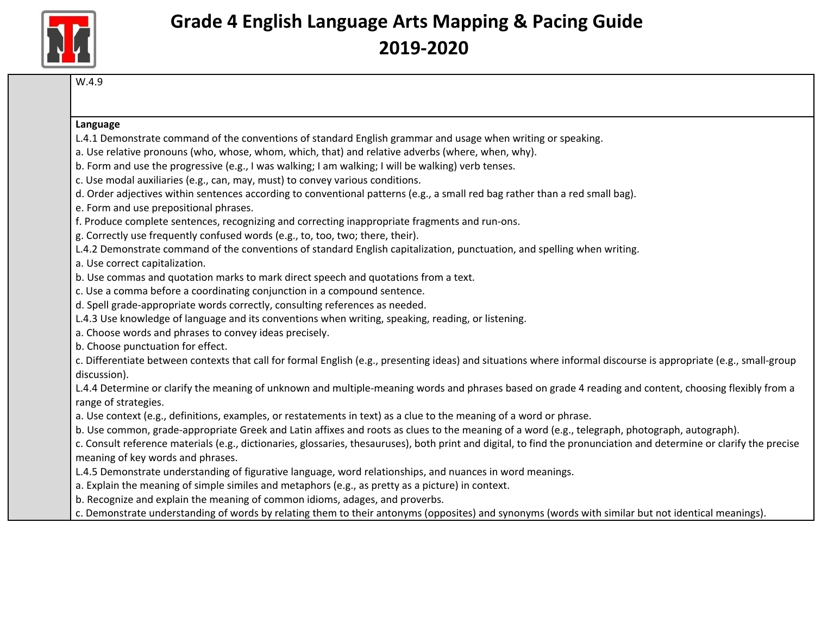

W.4.9

#### **Language**

- L.4.1 Demonstrate command of the conventions of standard English grammar and usage when writing or speaking.
- a. Use relative pronouns (who, whose, whom, which, that) and relative adverbs (where, when, why).
- b. Form and use the progressive (e.g., I was walking; I am walking; I will be walking) verb tenses.
- c. Use modal auxiliaries (e.g., can, may, must) to convey various conditions.
- d. Order adjectives within sentences according to conventional patterns (e.g., a small red bag rather than a red small bag).
- e. Form and use prepositional phrases.
- f. Produce complete sentences, recognizing and correcting inappropriate fragments and run-ons.
- g. Correctly use frequently confused words (e.g., to, too, two; there, their).
- L.4.2 Demonstrate command of the conventions of standard English capitalization, punctuation, and spelling when writing.

a. Use correct capitalization.

- b. Use commas and quotation marks to mark direct speech and quotations from a text.
- c. Use a comma before a coordinating conjunction in a compound sentence.
- d. Spell grade-appropriate words correctly, consulting references as needed.
- L.4.3 Use knowledge of language and its conventions when writing, speaking, reading, or listening.
- a. Choose words and phrases to convey ideas precisely.

b. Choose punctuation for effect.

c. Differentiate between contexts that call for formal English (e.g., presenting ideas) and situations where informal discourse is appropriate (e.g., small-group discussion).

L.4.4 Determine or clarify the meaning of unknown and multiple-meaning words and phrases based on grade 4 reading and content, choosing flexibly from a range of strategies.

a. Use context (e.g., definitions, examples, or restatements in text) as a clue to the meaning of a word or phrase.

b. Use common, grade-appropriate Greek and Latin affixes and roots as clues to the meaning of a word (e.g., telegraph, photograph, autograph).

c. Consult reference materials (e.g., dictionaries, glossaries, thesauruses), both print and digital, to find the pronunciation and determine or clarify the precise meaning of key words and phrases.

- L.4.5 Demonstrate understanding of figurative language, word relationships, and nuances in word meanings.
- a. Explain the meaning of simple similes and metaphors (e.g., as pretty as a picture) in context.
- b. Recognize and explain the meaning of common idioms, adages, and proverbs.
- c. Demonstrate understanding of words by relating them to their antonyms (opposites) and synonyms (words with similar but not identical meanings).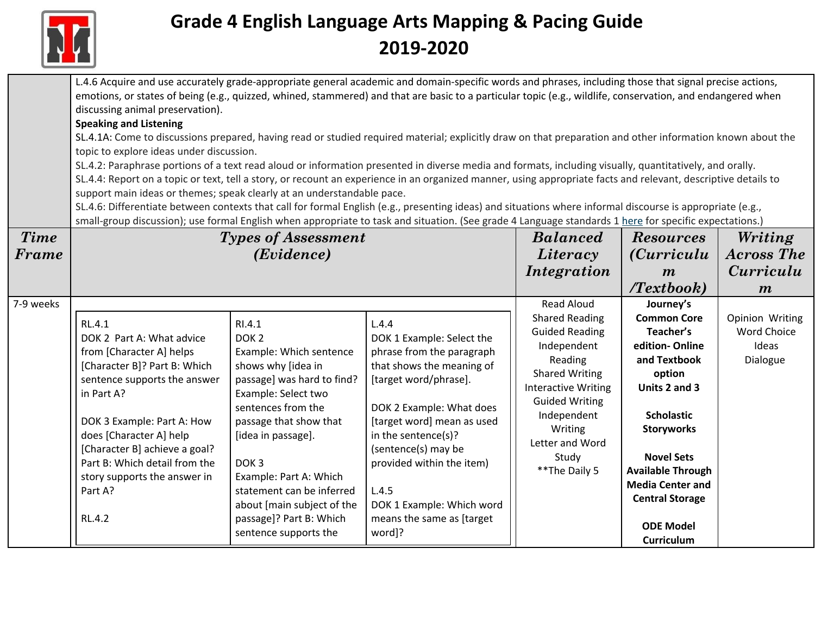

|             | L.4.6 Acquire and use accurately grade-appropriate general academic and domain-specific words and phrases, including those that signal precise actions,        |                                                       |                                                        |                            |                          |                    |  |  |
|-------------|----------------------------------------------------------------------------------------------------------------------------------------------------------------|-------------------------------------------------------|--------------------------------------------------------|----------------------------|--------------------------|--------------------|--|--|
|             | emotions, or states of being (e.g., quizzed, whined, stammered) and that are basic to a particular topic (e.g., wildlife, conservation, and endangered when    |                                                       |                                                        |                            |                          |                    |  |  |
|             | discussing animal preservation).                                                                                                                               |                                                       |                                                        |                            |                          |                    |  |  |
|             | <b>Speaking and Listening</b>                                                                                                                                  |                                                       |                                                        |                            |                          |                    |  |  |
|             | SL.4.1A: Come to discussions prepared, having read or studied required material; explicitly draw on that preparation and other information known about the     |                                                       |                                                        |                            |                          |                    |  |  |
|             | topic to explore ideas under discussion.                                                                                                                       |                                                       |                                                        |                            |                          |                    |  |  |
|             | SL.4.2: Paraphrase portions of a text read aloud or information presented in diverse media and formats, including visually, quantitatively, and orally.        |                                                       |                                                        |                            |                          |                    |  |  |
|             | SL.4.4: Report on a topic or text, tell a story, or recount an experience in an organized manner, using appropriate facts and relevant, descriptive details to |                                                       |                                                        |                            |                          |                    |  |  |
|             | support main ideas or themes; speak clearly at an understandable pace.                                                                                         |                                                       |                                                        |                            |                          |                    |  |  |
|             | SL.4.6: Differentiate between contexts that call for formal English (e.g., presenting ideas) and situations where informal discourse is appropriate (e.g.,     |                                                       |                                                        |                            |                          |                    |  |  |
|             | small-group discussion); use formal English when appropriate to task and situation. (See grade 4 Language standards 1 here for specific expectations.)         |                                                       |                                                        |                            |                          |                    |  |  |
| <b>Time</b> |                                                                                                                                                                | <b>Types of Assessment</b>                            |                                                        | <b>Balanced</b>            | <b>Resources</b>         | Writing            |  |  |
| Frame       |                                                                                                                                                                | (Evidence)                                            |                                                        | Literacy                   | <i>(Curriculu)</i>       | <b>Across The</b>  |  |  |
|             |                                                                                                                                                                |                                                       |                                                        | <i>Integration</i>         | $\boldsymbol{m}$         | Curriculu          |  |  |
|             |                                                                                                                                                                |                                                       |                                                        |                            | Textbook                 | $\boldsymbol{m}$   |  |  |
| 7-9 weeks   |                                                                                                                                                                |                                                       |                                                        | Read Aloud                 | Journey's                |                    |  |  |
|             |                                                                                                                                                                |                                                       |                                                        | <b>Shared Reading</b>      | <b>Common Core</b>       | Opinion Writing    |  |  |
|             | RL.4.1                                                                                                                                                         | RI.4.1                                                | L.4.4                                                  | <b>Guided Reading</b>      | Teacher's                | <b>Word Choice</b> |  |  |
|             | DOK 2 Part A: What advice                                                                                                                                      | DOK <sub>2</sub>                                      | DOK 1 Example: Select the                              | Independent                | edition-Online           | Ideas              |  |  |
|             | from [Character A] helps                                                                                                                                       | Example: Which sentence                               | phrase from the paragraph                              | Reading                    | and Textbook             | Dialogue           |  |  |
|             | [Character B]? Part B: Which                                                                                                                                   | shows why [idea in                                    | that shows the meaning of                              | <b>Shared Writing</b>      | option                   |                    |  |  |
|             | sentence supports the answer                                                                                                                                   | passage] was hard to find?                            | [target word/phrase].                                  | <b>Interactive Writing</b> | Units 2 and 3            |                    |  |  |
|             | in Part A?                                                                                                                                                     | Example: Select two                                   |                                                        | <b>Guided Writing</b>      |                          |                    |  |  |
|             |                                                                                                                                                                | sentences from the                                    | DOK 2 Example: What does                               | Independent                | <b>Scholastic</b>        |                    |  |  |
|             | DOK 3 Example: Part A: How                                                                                                                                     | passage that show that                                | [target word] mean as used                             | Writing                    | <b>Storyworks</b>        |                    |  |  |
|             | does [Character A] help                                                                                                                                        | [idea in passage].                                    | in the sentence(s)?                                    | Letter and Word            |                          |                    |  |  |
|             | [Character B] achieve a goal?<br>Part B: Which detail from the                                                                                                 | DOK <sub>3</sub>                                      | (sentence(s) may be                                    | Study                      | <b>Novel Sets</b>        |                    |  |  |
|             |                                                                                                                                                                |                                                       | provided within the item)                              | ** The Daily 5             | <b>Available Through</b> |                    |  |  |
|             | story supports the answer in<br>Part A?                                                                                                                        | Example: Part A: Which<br>statement can be inferred   |                                                        |                            | <b>Media Center and</b>  |                    |  |  |
|             |                                                                                                                                                                |                                                       | L.4.5                                                  |                            | <b>Central Storage</b>   |                    |  |  |
|             | RL.4.2                                                                                                                                                         | about [main subject of the<br>passage]? Part B: Which | DOK 1 Example: Which word<br>means the same as [target |                            |                          |                    |  |  |
|             |                                                                                                                                                                | sentence supports the                                 | word]?                                                 |                            | <b>ODE Model</b>         |                    |  |  |
|             |                                                                                                                                                                |                                                       |                                                        |                            | Curriculum               |                    |  |  |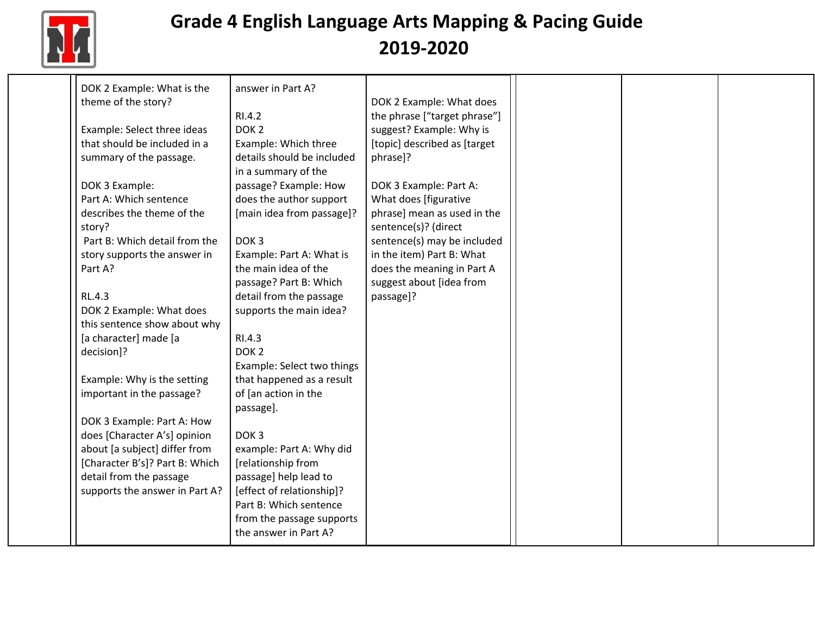

| DOK 2 Example: What is the     | answer in Part A?          |                              |  |  |
|--------------------------------|----------------------------|------------------------------|--|--|
| theme of the story?            |                            | DOK 2 Example: What does     |  |  |
|                                | RI.4.2                     | the phrase ["target phrase"] |  |  |
| Example: Select three ideas    | DOK <sub>2</sub>           | suggest? Example: Why is     |  |  |
| that should be included in a   | Example: Which three       | [topic] described as [target |  |  |
| summary of the passage.        | details should be included | phrase]?                     |  |  |
|                                | in a summary of the        |                              |  |  |
| DOK 3 Example:                 | passage? Example: How      | DOK 3 Example: Part A:       |  |  |
| Part A: Which sentence         | does the author support    | What does [figurative        |  |  |
| describes the theme of the     | [main idea from passage]?  | phrase] mean as used in the  |  |  |
| story?                         |                            | sentence(s)? (direct         |  |  |
| Part B: Which detail from the  | DOK <sub>3</sub>           | sentence(s) may be included  |  |  |
| story supports the answer in   | Example: Part A: What is   | in the item) Part B: What    |  |  |
| Part A?                        | the main idea of the       | does the meaning in Part A   |  |  |
|                                | passage? Part B: Which     | suggest about [idea from     |  |  |
| RL.4.3                         | detail from the passage    | passage]?                    |  |  |
| DOK 2 Example: What does       | supports the main idea?    |                              |  |  |
| this sentence show about why   |                            |                              |  |  |
| [a character] made [a          | RI.4.3                     |                              |  |  |
| decision]?                     | DOK <sub>2</sub>           |                              |  |  |
|                                | Example: Select two things |                              |  |  |
| Example: Why is the setting    | that happened as a result  |                              |  |  |
| important in the passage?      | of [an action in the       |                              |  |  |
|                                | passage].                  |                              |  |  |
| DOK 3 Example: Part A: How     |                            |                              |  |  |
| does [Character A's] opinion   | DOK <sub>3</sub>           |                              |  |  |
| about [a subject] differ from  | example: Part A: Why did   |                              |  |  |
| [Character B's]? Part B: Which | [relationship from         |                              |  |  |
| detail from the passage        | passage] help lead to      |                              |  |  |
| supports the answer in Part A? | [effect of relationship]?  |                              |  |  |
|                                | Part B: Which sentence     |                              |  |  |
|                                | from the passage supports  |                              |  |  |
|                                | the answer in Part A?      |                              |  |  |
|                                |                            |                              |  |  |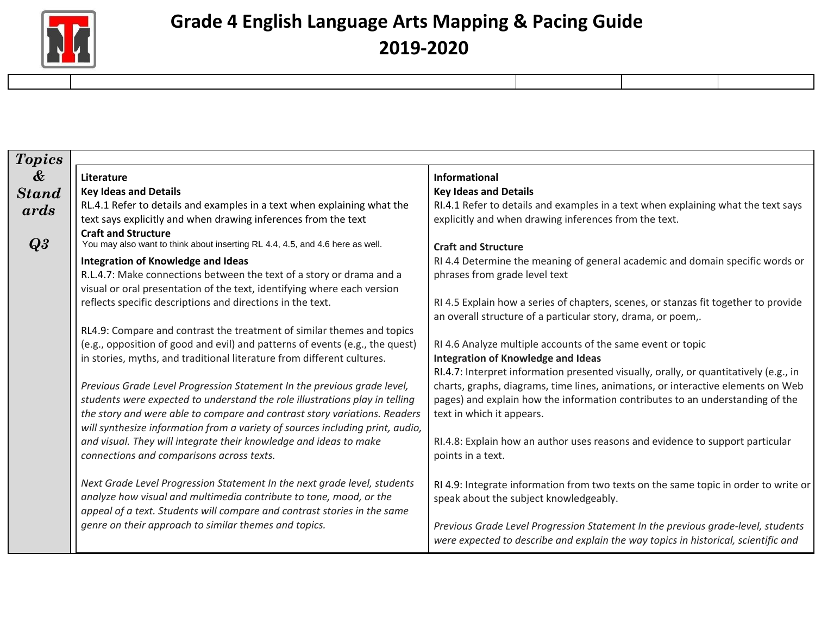

| <b>Topics</b>                              |                                                                                                                                                                                                                                                                                                                      |                                                                                                                                                                                                       |
|--------------------------------------------|----------------------------------------------------------------------------------------------------------------------------------------------------------------------------------------------------------------------------------------------------------------------------------------------------------------------|-------------------------------------------------------------------------------------------------------------------------------------------------------------------------------------------------------|
| $\boldsymbol{\mathcal{X}}$<br><b>Stand</b> | Literature<br><b>Key Ideas and Details</b><br>RL.4.1 Refer to details and examples in a text when explaining what the                                                                                                                                                                                                | Informational<br><b>Key Ideas and Details</b><br>RI.4.1 Refer to details and examples in a text when explaining what the text says                                                                    |
| ards<br>Q3                                 | text says explicitly and when drawing inferences from the text<br><b>Craft and Structure</b><br>You may also want to think about inserting RL 4.4, 4.5, and 4.6 here as well.                                                                                                                                        | explicitly and when drawing inferences from the text.<br><b>Craft and Structure</b>                                                                                                                   |
|                                            | <b>Integration of Knowledge and Ideas</b><br>R.L.4.7: Make connections between the text of a story or drama and a<br>visual or oral presentation of the text, identifying where each version<br>reflects specific descriptions and directions in the text.                                                           | RI 4.4 Determine the meaning of general academic and domain specific words or<br>phrases from grade level text<br>RI 4.5 Explain how a series of chapters, scenes, or stanzas fit together to provide |
|                                            | RL4.9: Compare and contrast the treatment of similar themes and topics                                                                                                                                                                                                                                               | an overall structure of a particular story, drama, or poem,.                                                                                                                                          |
|                                            | (e.g., opposition of good and evil) and patterns of events (e.g., the quest)<br>in stories, myths, and traditional literature from different cultures.                                                                                                                                                               | RI 4.6 Analyze multiple accounts of the same event or topic<br><b>Integration of Knowledge and Ideas</b><br>RI.4.7: Interpret information presented visually, orally, or quantitatively (e.g., in     |
|                                            | Previous Grade Level Progression Statement In the previous grade level,<br>students were expected to understand the role illustrations play in telling<br>the story and were able to compare and contrast story variations. Readers<br>will synthesize information from a variety of sources including print, audio, | charts, graphs, diagrams, time lines, animations, or interactive elements on Web<br>pages) and explain how the information contributes to an understanding of the<br>text in which it appears.        |
|                                            | and visual. They will integrate their knowledge and ideas to make<br>connections and comparisons across texts.                                                                                                                                                                                                       | RI.4.8: Explain how an author uses reasons and evidence to support particular<br>points in a text.                                                                                                    |
|                                            | Next Grade Level Progression Statement In the next grade level, students<br>analyze how visual and multimedia contribute to tone, mood, or the<br>appeal of a text. Students will compare and contrast stories in the same                                                                                           | RI 4.9: Integrate information from two texts on the same topic in order to write or<br>speak about the subject knowledgeably.                                                                         |
|                                            | genre on their approach to similar themes and topics.                                                                                                                                                                                                                                                                | Previous Grade Level Progression Statement In the previous grade-level, students<br>were expected to describe and explain the way topics in historical, scientific and                                |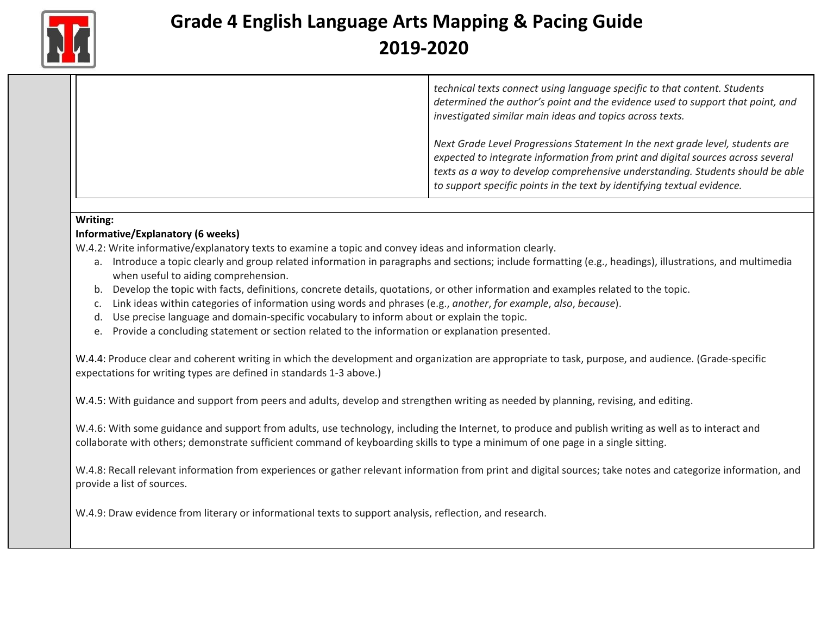

*technical texts connect using language specific to that content. Students determined the author's point and the evidence used to support that point, and investigated similar main ideas and topics across texts.*

*Next Grade Level Progressions Statement In the next grade level, students are expected to integrate information from print and digital sources across several texts as a way to develop comprehensive understanding. Students should be able to support specific points in the text by identifying textual evidence.*

#### **Writing:**

#### **Informative/Explanatory (6 weeks)**

W.4.2: Write informative/explanatory texts to examine a topic and convey ideas and information clearly.

- a. Introduce a topic clearly and group related information in paragraphs and sections; include formatting (e.g., headings), illustrations, and multimedia when useful to aiding comprehension.
- b. Develop the topic with facts, definitions, concrete details, quotations, or other information and examples related to the topic.
- c. Link ideas within categories of information using words and phrases (e.g., *another*, *for example*, *also*, *because*).
- d. Use precise language and domain-specific vocabulary to inform about or explain the topic.
- e. Provide a concluding statement or section related to the information or explanation presented.

W.4.4: Produce clear and coherent writing in which the development and organization are appropriate to task, purpose, and audience. (Grade-specific expectations for writing types are defined in standards 1-3 above.)

W.4.5: With guidance and support from peers and adults, develop and strengthen writing as needed by planning, revising, and editing.

W.4.6: With some guidance and support from adults, use technology, including the Internet, to produce and publish writing as well as to interact and collaborate with others; demonstrate sufficient command of keyboarding skills to type a minimum of one page in a single sitting.

W.4.8: Recall relevant information from experiences or gather relevant information from print and digital sources; take notes and categorize information, and provide a list of sources.

W.4.9: Draw evidence from literary or informational texts to support analysis, reflection, and research.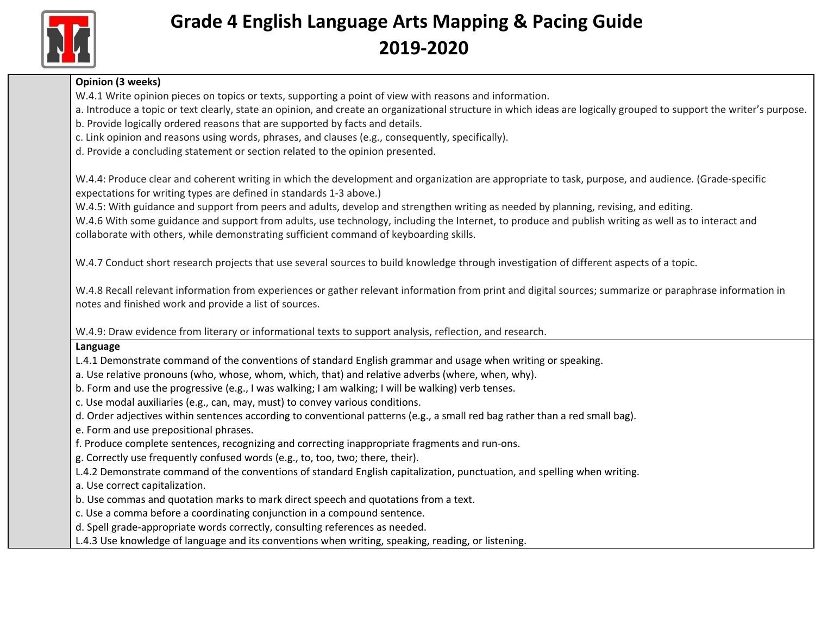

### **Opinion (3 weeks)** W.4.1 Write opinion pieces on topics or texts, supporting a point of view with reasons and information. a. Introduce a topic or text clearly, state an opinion, and create an organizational structure in which ideas are logically grouped to support the writer's purpose. b. Provide logically ordered reasons that are supported by facts and details. c. Link opinion and reasons using words, phrases, and clauses (e.g., consequently, specifically). d. Provide a concluding statement or section related to the opinion presented. W.4.4: Produce clear and coherent writing in which the development and organization are appropriate to task, purpose, and audience. (Grade-specific expectations for writing types are defined in standards 1-3 above.) W.4.5: With guidance and support from peers and adults, develop and strengthen writing as needed by planning, revising, and editing. W.4.6 With some guidance and support from adults, use technology, including the Internet, to produce and publish writing as well as to interact and collaborate with others, while demonstrating sufficient command of keyboarding skills. W.4.7 Conduct short research projects that use several sources to build knowledge through investigation of different aspects of a topic. W.4.8 Recall relevant information from experiences or gather relevant information from print and digital sources; summarize or paraphrase information in notes and finished work and provide a list of sources. W.4.9: Draw evidence from literary or informational texts to support analysis, reflection, and research. **Language** L.4.1 Demonstrate command of the conventions of standard English grammar and usage when writing or speaking. a. Use relative pronouns (who, whose, whom, which, that) and relative adverbs (where, when, why). b. Form and use the progressive (e.g., I was walking; I am walking; I will be walking) verb tenses. c. Use modal auxiliaries (e.g., can, may, must) to convey various conditions. d. Order adjectives within sentences according to conventional patterns (e.g., a small red bag rather than a red small bag). e. Form and use prepositional phrases. f. Produce complete sentences, recognizing and correcting inappropriate fragments and run-ons. g. Correctly use frequently confused words (e.g., to, too, two; there, their). L.4.2 Demonstrate command of the conventions of standard English capitalization, punctuation, and spelling when writing. a. Use correct capitalization. b. Use commas and quotation marks to mark direct speech and quotations from a text. c. Use a comma before a coordinating conjunction in a compound sentence. d. Spell grade-appropriate words correctly, consulting references as needed. L.4.3 Use knowledge of language and its conventions when writing, speaking, reading, or listening.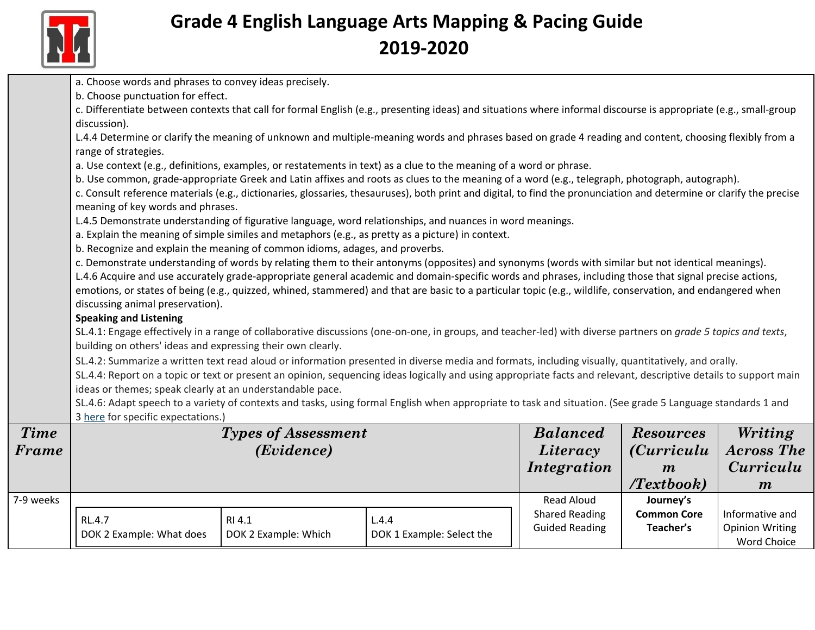

|             | a. Choose words and phrases to convey ideas precisely.                                                                                                                            |                            |                                                                                                                                                                      |                       |                    |                        |  |  |
|-------------|-----------------------------------------------------------------------------------------------------------------------------------------------------------------------------------|----------------------------|----------------------------------------------------------------------------------------------------------------------------------------------------------------------|-----------------------|--------------------|------------------------|--|--|
|             | b. Choose punctuation for effect.                                                                                                                                                 |                            |                                                                                                                                                                      |                       |                    |                        |  |  |
|             | c. Differentiate between contexts that call for formal English (e.g., presenting ideas) and situations where informal discourse is appropriate (e.g., small-group<br>discussion). |                            |                                                                                                                                                                      |                       |                    |                        |  |  |
|             | range of strategies.                                                                                                                                                              |                            | L.4.4 Determine or clarify the meaning of unknown and multiple-meaning words and phrases based on grade 4 reading and content, choosing flexibly from a              |                       |                    |                        |  |  |
|             |                                                                                                                                                                                   |                            | a. Use context (e.g., definitions, examples, or restatements in text) as a clue to the meaning of a word or phrase.                                                  |                       |                    |                        |  |  |
|             |                                                                                                                                                                                   |                            | b. Use common, grade-appropriate Greek and Latin affixes and roots as clues to the meaning of a word (e.g., telegraph, photograph, autograph).                       |                       |                    |                        |  |  |
|             |                                                                                                                                                                                   |                            | c. Consult reference materials (e.g., dictionaries, glossaries, thesauruses), both print and digital, to find the pronunciation and determine or clarify the precise |                       |                    |                        |  |  |
|             | meaning of key words and phrases.                                                                                                                                                 |                            |                                                                                                                                                                      |                       |                    |                        |  |  |
|             |                                                                                                                                                                                   |                            | L.4.5 Demonstrate understanding of figurative language, word relationships, and nuances in word meanings.                                                            |                       |                    |                        |  |  |
|             |                                                                                                                                                                                   |                            | a. Explain the meaning of simple similes and metaphors (e.g., as pretty as a picture) in context.                                                                    |                       |                    |                        |  |  |
|             | b. Recognize and explain the meaning of common idioms, adages, and proverbs.                                                                                                      |                            |                                                                                                                                                                      |                       |                    |                        |  |  |
|             |                                                                                                                                                                                   |                            | c. Demonstrate understanding of words by relating them to their antonyms (opposites) and synonyms (words with similar but not identical meanings).                   |                       |                    |                        |  |  |
|             |                                                                                                                                                                                   |                            | L.4.6 Acquire and use accurately grade-appropriate general academic and domain-specific words and phrases, including those that signal precise actions,              |                       |                    |                        |  |  |
|             |                                                                                                                                                                                   |                            | emotions, or states of being (e.g., quizzed, whined, stammered) and that are basic to a particular topic (e.g., wildlife, conservation, and endangered when          |                       |                    |                        |  |  |
|             | discussing animal preservation).                                                                                                                                                  |                            |                                                                                                                                                                      |                       |                    |                        |  |  |
|             | <b>Speaking and Listening</b>                                                                                                                                                     |                            |                                                                                                                                                                      |                       |                    |                        |  |  |
|             |                                                                                                                                                                                   |                            | SL.4.1: Engage effectively in a range of collaborative discussions (one-on-one, in groups, and teacher-led) with diverse partners on grade 5 topics and texts,       |                       |                    |                        |  |  |
|             | building on others' ideas and expressing their own clearly.                                                                                                                       |                            |                                                                                                                                                                      |                       |                    |                        |  |  |
|             |                                                                                                                                                                                   |                            | SL.4.2: Summarize a written text read aloud or information presented in diverse media and formats, including visually, quantitatively, and orally.                   |                       |                    |                        |  |  |
|             |                                                                                                                                                                                   |                            | SL.4.4: Report on a topic or text or present an opinion, sequencing ideas logically and using appropriate facts and relevant, descriptive details to support main    |                       |                    |                        |  |  |
|             | ideas or themes; speak clearly at an understandable pace.                                                                                                                         |                            |                                                                                                                                                                      |                       |                    |                        |  |  |
|             | SL.4.6: Adapt speech to a variety of contexts and tasks, using formal English when appropriate to task and situation. (See grade 5 Language standards 1 and                       |                            |                                                                                                                                                                      |                       |                    |                        |  |  |
|             | 3 here for specific expectations.)                                                                                                                                                |                            |                                                                                                                                                                      |                       |                    |                        |  |  |
| <b>Time</b> |                                                                                                                                                                                   | <b>Types of Assessment</b> |                                                                                                                                                                      | <b>Balanced</b>       | <b>Resources</b>   | Writing                |  |  |
| Frame       |                                                                                                                                                                                   | (Evidence)                 |                                                                                                                                                                      | Literacy              | <i>(Curriculu</i>  | <b>Across The</b>      |  |  |
|             |                                                                                                                                                                                   |                            |                                                                                                                                                                      | Integration           | $\boldsymbol{m}$   | <i>Curriculu</i>       |  |  |
|             |                                                                                                                                                                                   |                            |                                                                                                                                                                      |                       | Textbook)          | $\boldsymbol{m}$       |  |  |
| 7-9 weeks   |                                                                                                                                                                                   |                            |                                                                                                                                                                      | <b>Read Aloud</b>     | Journey's          |                        |  |  |
|             |                                                                                                                                                                                   |                            |                                                                                                                                                                      | <b>Shared Reading</b> | <b>Common Core</b> | Informative and        |  |  |
|             | RL.4.7                                                                                                                                                                            | RI 4.1                     | L.4.4                                                                                                                                                                | <b>Guided Reading</b> | Teacher's          | <b>Opinion Writing</b> |  |  |
|             | DOK 2 Example: What does                                                                                                                                                          | DOK 2 Example: Which       | DOK 1 Example: Select the                                                                                                                                            |                       |                    | Word Choice            |  |  |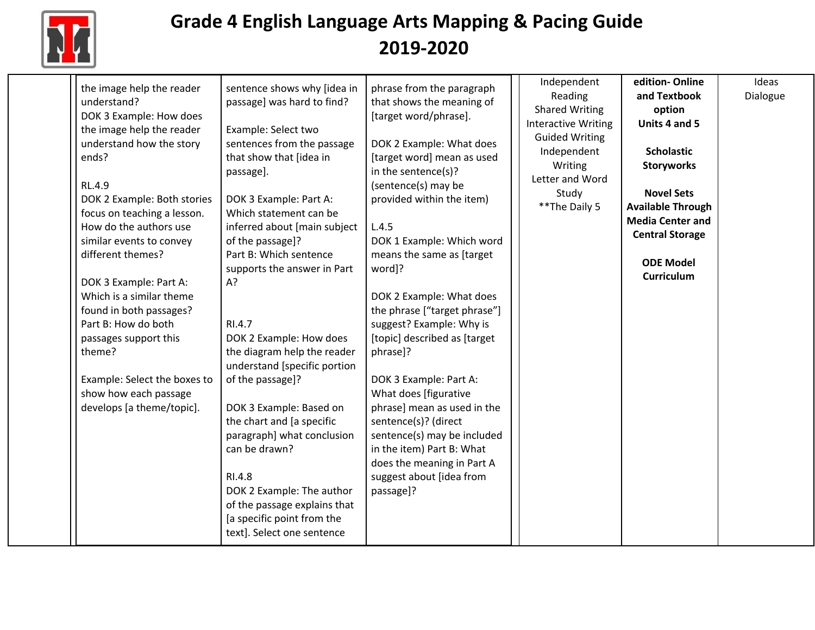

| the image help the reader<br>understand?<br>DOK 3 Example: How does<br>the image help the reader<br>understand how the story<br>ends?<br><b>RL.4.9</b><br>DOK 2 Example: Both stories<br>focus on teaching a lesson.<br>How do the authors use<br>similar events to convey<br>different themes?<br>DOK 3 Example: Part A:<br>Which is a similar theme<br>found in both passages?<br>Part B: How do both<br>passages support this<br>theme?<br>Example: Select the boxes to<br>show how each passage<br>develops [a theme/topic]. | sentence shows why [idea in<br>passage] was hard to find?<br>Example: Select two<br>sentences from the passage<br>that show that [idea in<br>passage].<br>DOK 3 Example: Part A:<br>Which statement can be<br>inferred about [main subject<br>of the passage]?<br>Part B: Which sentence<br>supports the answer in Part<br>A?<br>RI.4.7<br>DOK 2 Example: How does<br>the diagram help the reader<br>understand [specific portion<br>of the passage]?<br>DOK 3 Example: Based on<br>the chart and [a specific<br>paragraph] what conclusion<br>can be drawn?<br>RI.4.8<br>DOK 2 Example: The author<br>of the passage explains that<br>[a specific point from the<br>text]. Select one sentence | phrase from the paragraph<br>that shows the meaning of<br>[target word/phrase].<br>DOK 2 Example: What does<br>[target word] mean as used<br>in the sentence(s)?<br>(sentence(s) may be<br>provided within the item)<br>L.4.5<br>DOK 1 Example: Which word<br>means the same as [target<br>word]?<br>DOK 2 Example: What does<br>the phrase ["target phrase"]<br>suggest? Example: Why is<br>[topic] described as [target<br>phrase]?<br>DOK 3 Example: Part A:<br>What does [figurative<br>phrase] mean as used in the<br>sentence(s)? (direct<br>sentence(s) may be included<br>in the item) Part B: What<br>does the meaning in Part A<br>suggest about [idea from<br>passage]? | Independent<br>Reading<br><b>Shared Writing</b><br><b>Interactive Writing</b><br><b>Guided Writing</b><br>Independent<br>Writing<br>Letter and Word<br>Study<br>** The Daily 5 | edition-Online<br>and Textbook<br>option<br>Units 4 and 5<br><b>Scholastic</b><br><b>Storyworks</b><br><b>Novel Sets</b><br><b>Available Through</b><br><b>Media Center and</b><br><b>Central Storage</b><br><b>ODE Model</b><br>Curriculum | Ideas<br>Dialogue |
|----------------------------------------------------------------------------------------------------------------------------------------------------------------------------------------------------------------------------------------------------------------------------------------------------------------------------------------------------------------------------------------------------------------------------------------------------------------------------------------------------------------------------------|-------------------------------------------------------------------------------------------------------------------------------------------------------------------------------------------------------------------------------------------------------------------------------------------------------------------------------------------------------------------------------------------------------------------------------------------------------------------------------------------------------------------------------------------------------------------------------------------------------------------------------------------------------------------------------------------------|------------------------------------------------------------------------------------------------------------------------------------------------------------------------------------------------------------------------------------------------------------------------------------------------------------------------------------------------------------------------------------------------------------------------------------------------------------------------------------------------------------------------------------------------------------------------------------------------------------------------------------------------------------------------------------|--------------------------------------------------------------------------------------------------------------------------------------------------------------------------------|---------------------------------------------------------------------------------------------------------------------------------------------------------------------------------------------------------------------------------------------|-------------------|
|----------------------------------------------------------------------------------------------------------------------------------------------------------------------------------------------------------------------------------------------------------------------------------------------------------------------------------------------------------------------------------------------------------------------------------------------------------------------------------------------------------------------------------|-------------------------------------------------------------------------------------------------------------------------------------------------------------------------------------------------------------------------------------------------------------------------------------------------------------------------------------------------------------------------------------------------------------------------------------------------------------------------------------------------------------------------------------------------------------------------------------------------------------------------------------------------------------------------------------------------|------------------------------------------------------------------------------------------------------------------------------------------------------------------------------------------------------------------------------------------------------------------------------------------------------------------------------------------------------------------------------------------------------------------------------------------------------------------------------------------------------------------------------------------------------------------------------------------------------------------------------------------------------------------------------------|--------------------------------------------------------------------------------------------------------------------------------------------------------------------------------|---------------------------------------------------------------------------------------------------------------------------------------------------------------------------------------------------------------------------------------------|-------------------|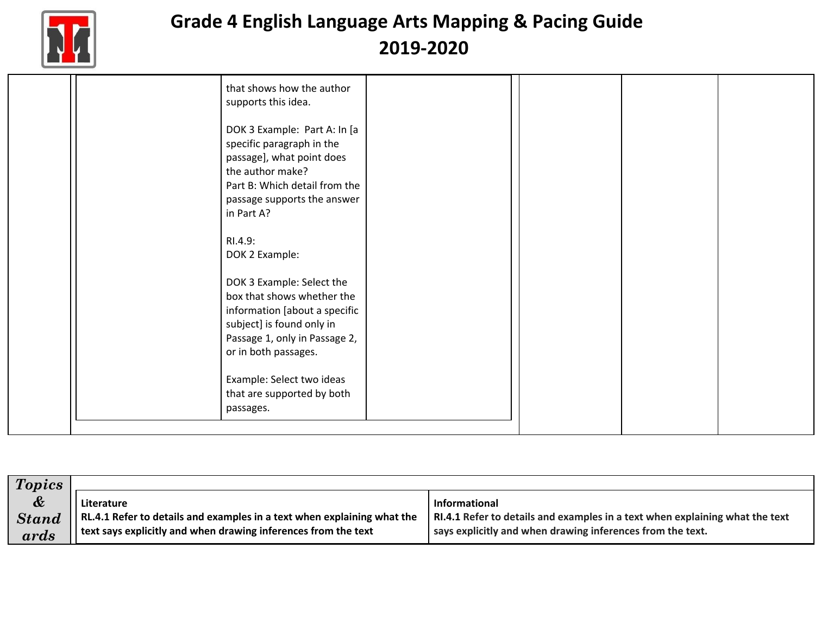

| <b>Topics</b> |                                                                         |                                                                              |
|---------------|-------------------------------------------------------------------------|------------------------------------------------------------------------------|
| &             | Literature                                                              | <b>Informational</b>                                                         |
| <b>Stand</b>  | RL.4.1 Refer to details and examples in a text when explaining what the | RI.4.1 Refer to details and examples in a text when explaining what the text |
| ards          | text says explicitly and when drawing inferences from the text          | says explicitly and when drawing inferences from the text.                   |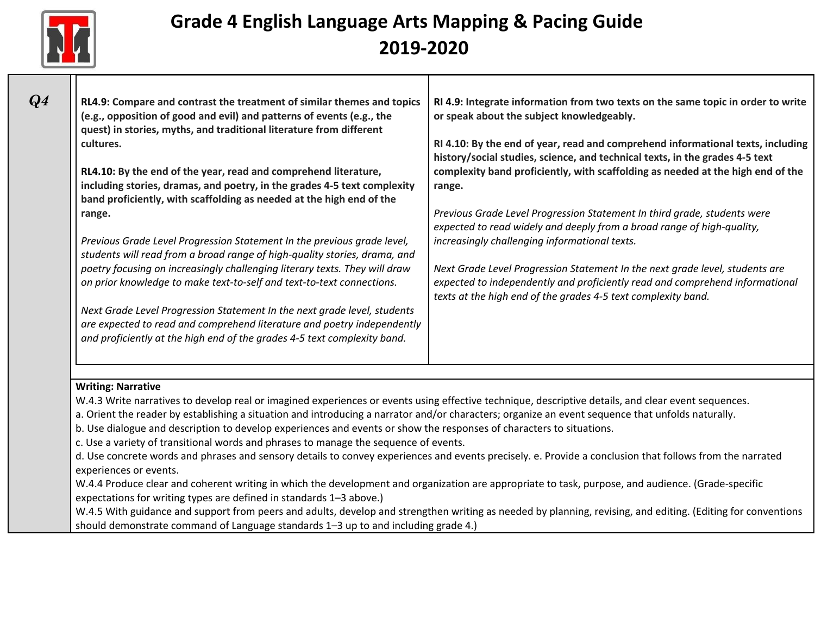

| RL4.9: Compare and contrast the treatment of similar themes and topics<br>(e.g., opposition of good and evil) and patterns of events (e.g., the | RI 4.9: Integrate information from two texts on the same topic in order to write<br>or speak about the subject knowledgeably.                      |
|-------------------------------------------------------------------------------------------------------------------------------------------------|----------------------------------------------------------------------------------------------------------------------------------------------------|
| quest) in stories, myths, and traditional literature from different<br>cultures.                                                                | RI 4.10: By the end of year, read and comprehend informational texts, including                                                                    |
|                                                                                                                                                 | history/social studies, science, and technical texts, in the grades 4-5 text                                                                       |
| RL4.10: By the end of the year, read and comprehend literature,                                                                                 | complexity band proficiently, with scaffolding as needed at the high end of the                                                                    |
| including stories, dramas, and poetry, in the grades 4-5 text complexity                                                                        | range.                                                                                                                                             |
| band proficiently, with scaffolding as needed at the high end of the                                                                            |                                                                                                                                                    |
| range.                                                                                                                                          | Previous Grade Level Progression Statement In third grade, students were<br>expected to read widely and deeply from a broad range of high-quality, |
| Previous Grade Level Progression Statement In the previous grade level,                                                                         | increasingly challenging informational texts.                                                                                                      |
| students will read from a broad range of high-quality stories, drama, and                                                                       |                                                                                                                                                    |
| poetry focusing on increasingly challenging literary texts. They will draw                                                                      | Next Grade Level Progression Statement In the next grade level, students are                                                                       |
| on prior knowledge to make text-to-self and text-to-text connections.                                                                           | expected to independently and proficiently read and comprehend informational<br>texts at the high end of the grades 4-5 text complexity band.      |
| Next Grade Level Progression Statement In the next grade level, students                                                                        |                                                                                                                                                    |
| are expected to read and comprehend literature and poetry independently                                                                         |                                                                                                                                                    |
| and proficiently at the high end of the grades 4-5 text complexity band.                                                                        |                                                                                                                                                    |
|                                                                                                                                                 |                                                                                                                                                    |
|                                                                                                                                                 |                                                                                                                                                    |
| <b>Writing: Narrative</b>                                                                                                                       |                                                                                                                                                    |

a. Orient the reader by establishing a situation and introducing a narrator and/or characters; organize an event sequence that unfolds naturally.

b. Use dialogue and description to develop experiences and events or show the responses of characters to situations.

c. Use a variety of transitional words and phrases to manage the sequence of events.

d. Use concrete words and phrases and sensory details to convey experiences and events precisely. e. Provide a conclusion that follows from the narrated experiences or events.

W.4.4 Produce clear and coherent writing in which the development and organization are appropriate to task, purpose, and audience. (Grade-specific expectations for writing types are defined in standards 1–3 above.)

W.4.5 With guidance and support from peers and adults, develop and strengthen writing as needed by planning, revising, and editing. (Editing for conventions should demonstrate command of Language standards 1–3 up to and including grade 4.)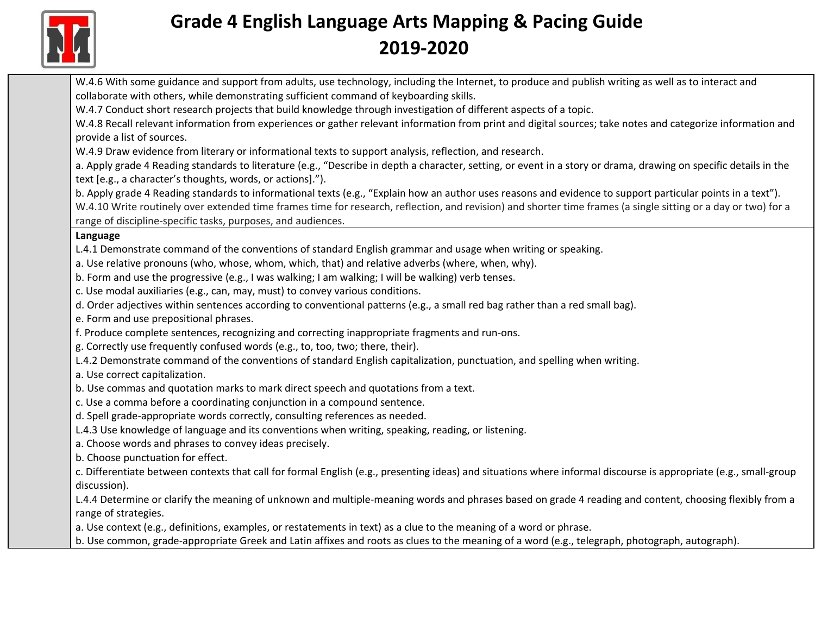

W.4.6 With some guidance and support from adults, use technology, including the Internet, to produce and publish writing as well as to interact and collaborate with others, while demonstrating sufficient command of keyboarding skills.

W.4.7 Conduct short research projects that build knowledge through investigation of different aspects of a topic.

W.4.8 Recall relevant information from experiences or gather relevant information from print and digital sources; take notes and categorize information and provide a list of sources.

W.4.9 Draw evidence from literary or informational texts to support analysis, reflection, and research.

a. Apply grade 4 Reading standards to literature (e.g., "Describe in depth a character, setting, or event in a story or drama, drawing on specific details in the text [e.g., a character's thoughts, words, or actions].").

b. Apply grade 4 Reading standards to informational texts (e.g., "Explain how an author uses reasons and evidence to support particular points in a text"). W.4.10 Write routinely over extended time frames time for research, reflection, and revision) and shorter time frames (a single sitting or a day or two) for a range of discipline-specific tasks, purposes, and audiences.

### **Language**

- L.4.1 Demonstrate command of the conventions of standard English grammar and usage when writing or speaking.
- a. Use relative pronouns (who, whose, whom, which, that) and relative adverbs (where, when, why).
- b. Form and use the progressive (e.g., I was walking; I am walking; I will be walking) verb tenses.
- c. Use modal auxiliaries (e.g., can, may, must) to convey various conditions.
- d. Order adjectives within sentences according to conventional patterns (e.g., a small red bag rather than a red small bag).
- e. Form and use prepositional phrases.
- f. Produce complete sentences, recognizing and correcting inappropriate fragments and run-ons.
- g. Correctly use frequently confused words (e.g., to, too, two; there, their).
- L.4.2 Demonstrate command of the conventions of standard English capitalization, punctuation, and spelling when writing.
- a. Use correct capitalization.
- b. Use commas and quotation marks to mark direct speech and quotations from a text.
- c. Use a comma before a coordinating conjunction in a compound sentence.
- d. Spell grade-appropriate words correctly, consulting references as needed.
- L.4.3 Use knowledge of language and its conventions when writing, speaking, reading, or listening.
- a. Choose words and phrases to convey ideas precisely.
- b. Choose punctuation for effect.
- c. Differentiate between contexts that call for formal English (e.g., presenting ideas) and situations where informal discourse is appropriate (e.g., small-group discussion).

L.4.4 Determine or clarify the meaning of unknown and multiple-meaning words and phrases based on grade 4 reading and content, choosing flexibly from a range of strategies.

a. Use context (e.g., definitions, examples, or restatements in text) as a clue to the meaning of a word or phrase.

b. Use common, grade-appropriate Greek and Latin affixes and roots as clues to the meaning of a word (e.g., telegraph, photograph, autograph).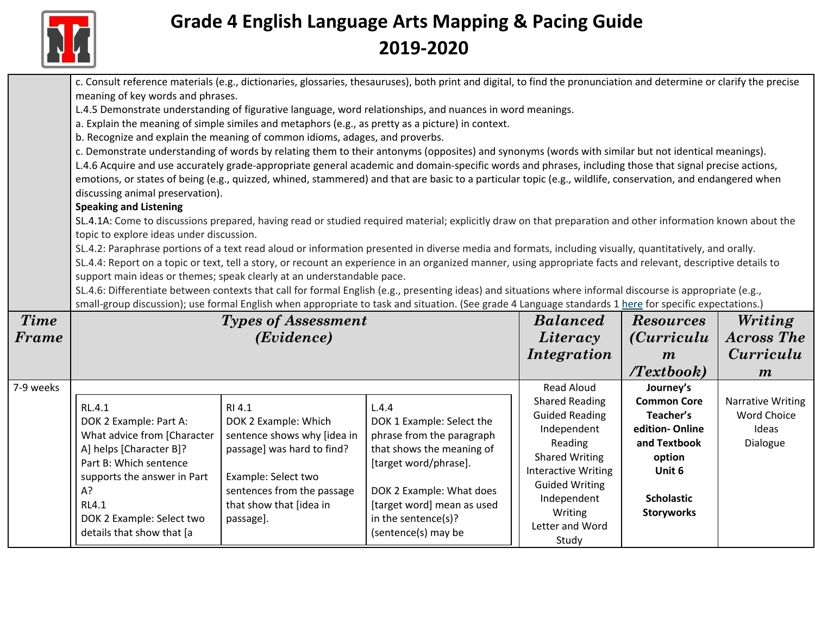

|             | meaning of key words and phrases.<br>b. Recognize and explain the meaning of common idioms, adages, and proverbs.                                         |                                                                                                                                                  | c. Consult reference materials (e.g., dictionaries, glossaries, thesauruses), both print and digital, to find the pronunciation and determine or clarify the precise<br>L.4.5 Demonstrate understanding of figurative language, word relationships, and nuances in word meanings.<br>a. Explain the meaning of simple similes and metaphors (e.g., as pretty as a picture) in context.<br>c. Demonstrate understanding of words by relating them to their antonyms (opposites) and synonyms (words with similar but not identical meanings).<br>L.4.6 Acquire and use accurately grade-appropriate general academic and domain-specific words and phrases, including those that signal precise actions,<br>emotions, or states of being (e.g., quizzed, whined, stammered) and that are basic to a particular topic (e.g., wildlife, conservation, and endangered when |                                                                                                                                                                                              |                                                                                                                         |                                                                     |
|-------------|-----------------------------------------------------------------------------------------------------------------------------------------------------------|--------------------------------------------------------------------------------------------------------------------------------------------------|------------------------------------------------------------------------------------------------------------------------------------------------------------------------------------------------------------------------------------------------------------------------------------------------------------------------------------------------------------------------------------------------------------------------------------------------------------------------------------------------------------------------------------------------------------------------------------------------------------------------------------------------------------------------------------------------------------------------------------------------------------------------------------------------------------------------------------------------------------------------|----------------------------------------------------------------------------------------------------------------------------------------------------------------------------------------------|-------------------------------------------------------------------------------------------------------------------------|---------------------------------------------------------------------|
|             | discussing animal preservation).<br><b>Speaking and Listening</b>                                                                                         |                                                                                                                                                  |                                                                                                                                                                                                                                                                                                                                                                                                                                                                                                                                                                                                                                                                                                                                                                                                                                                                        |                                                                                                                                                                                              |                                                                                                                         |                                                                     |
|             | topic to explore ideas under discussion.<br>support main ideas or themes; speak clearly at an understandable pace.                                        |                                                                                                                                                  | SL.4.1A: Come to discussions prepared, having read or studied required material; explicitly draw on that preparation and other information known about the<br>SL.4.2: Paraphrase portions of a text read aloud or information presented in diverse media and formats, including visually, quantitatively, and orally.<br>SL.4.4: Report on a topic or text, tell a story, or recount an experience in an organized manner, using appropriate facts and relevant, descriptive details to<br>SL.4.6: Differentiate between contexts that call for formal English (e.g., presenting ideas) and situations where informal discourse is appropriate (e.g.,<br>small-group discussion); use formal English when appropriate to task and situation. (See grade 4 Language standards 1 here for specific expectations.)                                                        |                                                                                                                                                                                              |                                                                                                                         |                                                                     |
| <b>Time</b> |                                                                                                                                                           | <b>Types of Assessment</b>                                                                                                                       |                                                                                                                                                                                                                                                                                                                                                                                                                                                                                                                                                                                                                                                                                                                                                                                                                                                                        | <b>Balanced</b>                                                                                                                                                                              | <b>Resources</b>                                                                                                        | Writing                                                             |
| Frame       |                                                                                                                                                           | (Evidence)                                                                                                                                       |                                                                                                                                                                                                                                                                                                                                                                                                                                                                                                                                                                                                                                                                                                                                                                                                                                                                        | Literacy                                                                                                                                                                                     | <i>(Curriculu</i> )                                                                                                     | <b>Across The</b>                                                   |
|             |                                                                                                                                                           |                                                                                                                                                  |                                                                                                                                                                                                                                                                                                                                                                                                                                                                                                                                                                                                                                                                                                                                                                                                                                                                        | Integration                                                                                                                                                                                  | $\boldsymbol{m}$<br>(Textbook)                                                                                          | Curriculu<br>$\boldsymbol{m}$                                       |
| 7-9 weeks   | RL.4.1<br>DOK 2 Example: Part A:<br>What advice from [Character<br>A] helps [Character B]?<br>Part B: Which sentence<br>supports the answer in Part<br>A? | RI 4.1<br>DOK 2 Example: Which<br>sentence shows why [idea in<br>passage] was hard to find?<br>Example: Select two<br>sentences from the passage | L.4.4<br>DOK 1 Example: Select the<br>phrase from the paragraph<br>that shows the meaning of<br>[target word/phrase].<br>DOK 2 Example: What does                                                                                                                                                                                                                                                                                                                                                                                                                                                                                                                                                                                                                                                                                                                      | <b>Read Aloud</b><br><b>Shared Reading</b><br><b>Guided Reading</b><br>Independent<br>Reading<br><b>Shared Writing</b><br><b>Interactive Writing</b><br><b>Guided Writing</b><br>Independent | Journey's<br><b>Common Core</b><br>Teacher's<br>edition-Online<br>and Textbook<br>option<br>Unit 6<br><b>Scholastic</b> | <b>Narrative Writing</b><br><b>Word Choice</b><br>Ideas<br>Dialogue |